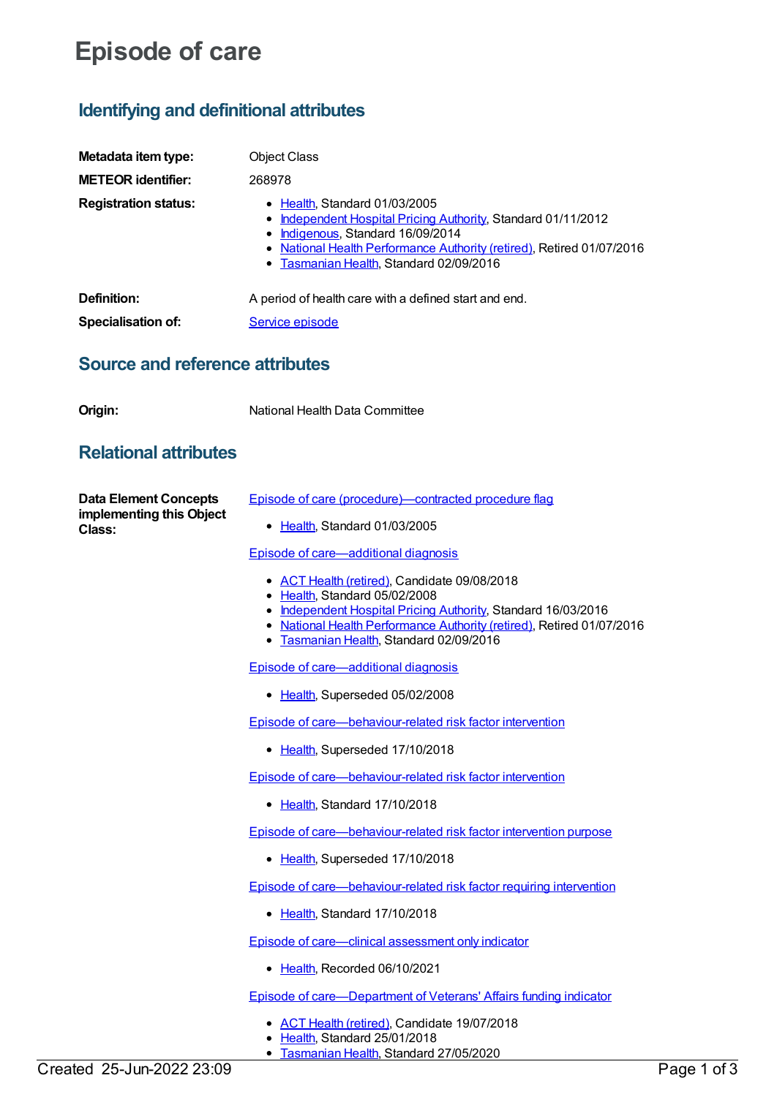## **Episode of care**

## **Identifying and definitional attributes**

| Metadata item type:                    | <b>Object Class</b>                                                                                                                                                                                                                                        |
|----------------------------------------|------------------------------------------------------------------------------------------------------------------------------------------------------------------------------------------------------------------------------------------------------------|
| <b>METEOR identifier:</b>              | 268978                                                                                                                                                                                                                                                     |
| <b>Registration status:</b>            | • Health, Standard 01/03/2005<br><b>Independent Hospital Pricing Authority, Standard 01/11/2012</b><br>Indigenous, Standard 16/09/2014<br>• National Health Performance Authority (retired), Retired 01/07/2016<br>• Tasmanian Health, Standard 02/09/2016 |
| Definition:                            | A period of health care with a defined start and end.                                                                                                                                                                                                      |
| Specialisation of:                     | Service episode                                                                                                                                                                                                                                            |
| <b>Source and reference attributes</b> |                                                                                                                                                                                                                                                            |
| Origin:                                | National Health Data Committee                                                                                                                                                                                                                             |
| <b>Relational attributes</b>           |                                                                                                                                                                                                                                                            |

**Data Element Concepts implementing this Object Class:**

Episode of care [\(procedure\)—contracted](https://meteor.aihw.gov.au/content/269854) procedure flag

[Health](https://meteor.aihw.gov.au/RegistrationAuthority/12), Standard 01/03/2005

Episode of [care—additional](https://meteor.aihw.gov.au/content/356590) diagnosis

- ACT Health [\(retired\)](https://meteor.aihw.gov.au/RegistrationAuthority/9), Candidate 09/08/2018
- [Health](https://meteor.aihw.gov.au/RegistrationAuthority/12), Standard 05/02/2008
- [Independent](https://meteor.aihw.gov.au/RegistrationAuthority/3) Hospital Pricing Authority, Standard 16/03/2016
- National Health [Performance](https://meteor.aihw.gov.au/RegistrationAuthority/8) Authority (retired), Retired 01/07/2016
- **[Tasmanian](https://meteor.aihw.gov.au/RegistrationAuthority/15) Health, Standard 02/09/2016**

Episode of [care—additional](https://meteor.aihw.gov.au/content/269656) diagnosis

• [Health](https://meteor.aihw.gov.au/RegistrationAuthority/12), Superseded 05/02/2008

Episode of [care—behaviour-related](https://meteor.aihw.gov.au/content/269626) risk factor intervention

• [Health](https://meteor.aihw.gov.au/RegistrationAuthority/12), Superseded 17/10/2018

Episode of [care—behaviour-related](https://meteor.aihw.gov.au/content/696230) risk factor intervention

• [Health](https://meteor.aihw.gov.au/RegistrationAuthority/12), Standard 17/10/2018

Episode of [care—behaviour-related](https://meteor.aihw.gov.au/content/269774) risk factor intervention purpose

• [Health](https://meteor.aihw.gov.au/RegistrationAuthority/12), Superseded 17/10/2018

Episode of [care—behaviour-related](https://meteor.aihw.gov.au/content/696242) risk factor requiring intervention

• [Health](https://meteor.aihw.gov.au/RegistrationAuthority/12), Standard 17/10/2018

Episode of [care—clinical](https://meteor.aihw.gov.au/content/745685) assessment only indicator

• [Health](https://meteor.aihw.gov.au/RegistrationAuthority/12), Recorded 06/10/2021

Episode of [care—Department](https://meteor.aihw.gov.au/content/644896) of Veterans' Affairs funding indicator

- ACT Health [\(retired\)](https://meteor.aihw.gov.au/RegistrationAuthority/9), Candidate 19/07/2018
- [Health](https://meteor.aihw.gov.au/RegistrationAuthority/12), Standard 25/01/2018
- [Tasmanian](https://meteor.aihw.gov.au/RegistrationAuthority/15) Health, Standard 27/05/2020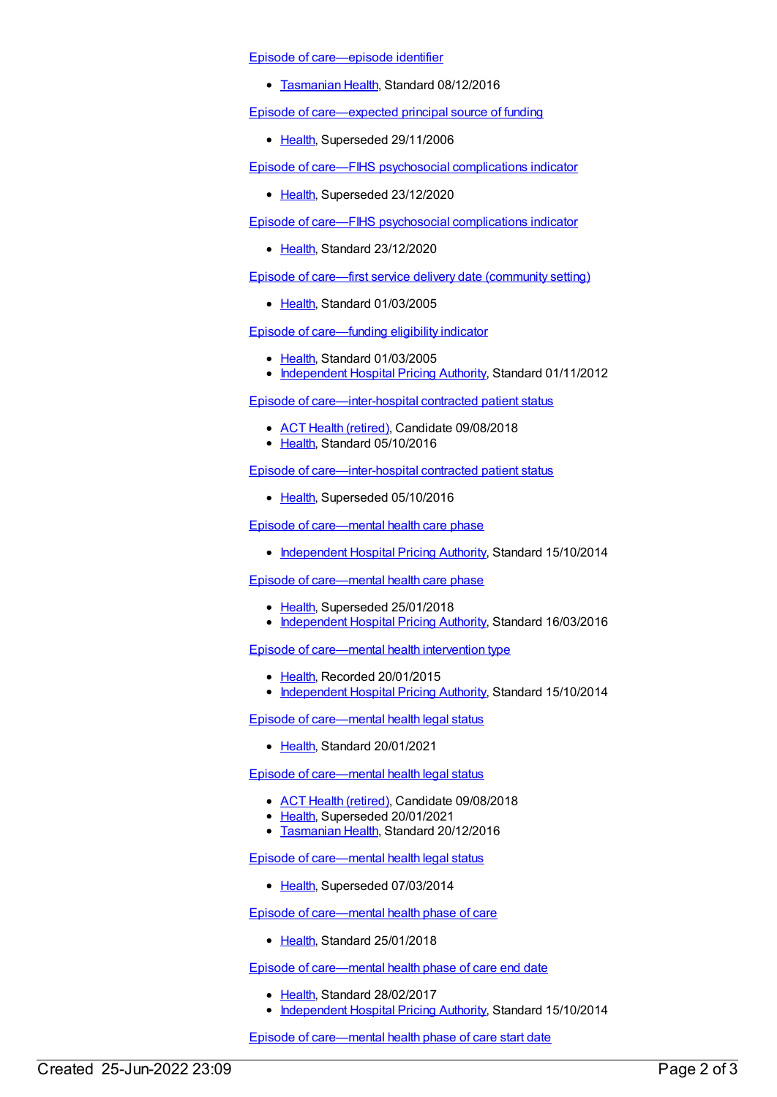Episode of [care—episode](https://meteor.aihw.gov.au/content/447028) identifier

**[Tasmanian](https://meteor.aihw.gov.au/RegistrationAuthority/15) Health, Standard 08/12/2016** 

Episode of [care—expected](https://meteor.aihw.gov.au/content/269398) principal source of funding

• [Health](https://meteor.aihw.gov.au/RegistrationAuthority/12), Superseded 29/11/2006

Episode of care—FIHS psychosocial [complications](https://meteor.aihw.gov.au/content/653293) indicator

• [Health](https://meteor.aihw.gov.au/RegistrationAuthority/12), Superseded 23/12/2020

Episode of care—FIHS psychosocial [complications](https://meteor.aihw.gov.au/content/730875) indicator

• [Health](https://meteor.aihw.gov.au/RegistrationAuthority/12), Standard 23/12/2020

Episode of care—first service delivery date [\(community](https://meteor.aihw.gov.au/content/269827) setting)

• [Health](https://meteor.aihw.gov.au/RegistrationAuthority/12), Standard 01/03/2005

Episode of [care—funding](https://meteor.aihw.gov.au/content/269561) eligibility indicator

- [Health](https://meteor.aihw.gov.au/RegistrationAuthority/12), Standard 01/03/2005
- [Independent](https://meteor.aihw.gov.au/RegistrationAuthority/3) Hospital Pricing Authority, Standard 01/11/2012

Episode of [care—inter-hospital](https://meteor.aihw.gov.au/content/647112) contracted patient status

- ACT Health [\(retired\)](https://meteor.aihw.gov.au/RegistrationAuthority/9), Candidate 09/08/2018
- Elealth, Standard 05/10/2016

Episode of [care—inter-hospital](https://meteor.aihw.gov.au/content/269715) contracted patient status

• [Health](https://meteor.aihw.gov.au/RegistrationAuthority/12), Superseded 05/10/2016

Episode of [care—mental](https://meteor.aihw.gov.au/content/575242) health care phase

• [Independent](https://meteor.aihw.gov.au/RegistrationAuthority/3) Hospital Pricing Authority, Standard 15/10/2014

Episode of [care—mental](https://meteor.aihw.gov.au/content/621493) health care phase

- [Health](https://meteor.aihw.gov.au/RegistrationAuthority/12), Superseded 25/01/2018
- [Independent](https://meteor.aihw.gov.au/RegistrationAuthority/3) Hospital Pricing Authority, Standard 16/03/2016

Episode of [care—mental](https://meteor.aihw.gov.au/content/575275) health intervention type

- Elealth, Recorded 20/01/2015
- [Independent](https://meteor.aihw.gov.au/RegistrationAuthority/3) Hospital Pricing Authority, Standard 15/10/2014

Episode of [care—mental](https://meteor.aihw.gov.au/content/727341) health legal status

• [Health](https://meteor.aihw.gov.au/RegistrationAuthority/12), Standard 20/01/2021

Episode of [care—mental](https://meteor.aihw.gov.au/content/542158) health legal status

- ACT Health [\(retired\)](https://meteor.aihw.gov.au/RegistrationAuthority/9), Candidate 09/08/2018
- [Health](https://meteor.aihw.gov.au/RegistrationAuthority/12), Superseded 20/01/2021
- **[Tasmanian](https://meteor.aihw.gov.au/RegistrationAuthority/15) Health, Standard 20/12/2016**

Episode of [care—mental](https://meteor.aihw.gov.au/content/269785) health legal status

• [Health](https://meteor.aihw.gov.au/RegistrationAuthority/12), Superseded 07/03/2014

Episode of [care—mental](https://meteor.aihw.gov.au/content/653130) health phase of care

• [Health](https://meteor.aihw.gov.au/RegistrationAuthority/12), Standard 25/01/2018

Episode of [care—mental](https://meteor.aihw.gov.au/content/575248) health phase of care end date

- [Health](https://meteor.aihw.gov.au/RegistrationAuthority/12), Standard 28/02/2017
- [Independent](https://meteor.aihw.gov.au/RegistrationAuthority/3) Hospital Pricing Authority, Standard 15/10/2014

Episode of [care—mental](https://meteor.aihw.gov.au/content/575255) health phase of care start date